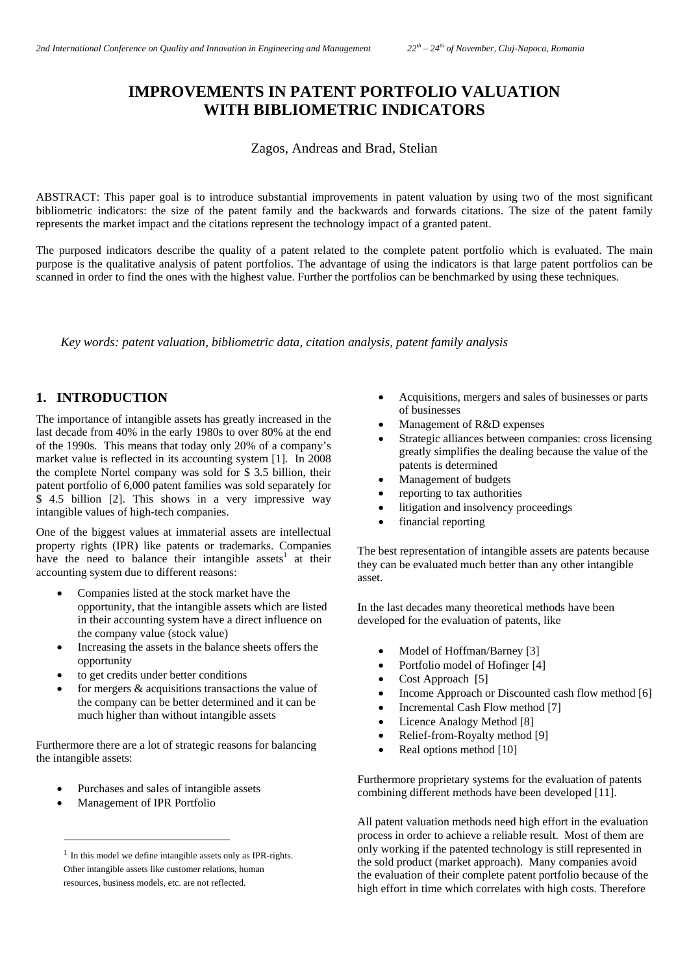# **IMPROVEMENTS IN PATENT PORTFOLIO VALUATION WITH BIBLIOMETRIC INDICATORS**

Zagos, Andreas and Brad, Stelian

ABSTRACT: This paper goal is to introduce substantial improvements in patent valuation by using two of the most significant bibliometric indicators: the size of the patent family and the backwards and forwards citations. The size of the patent family represents the market impact and the citations represent the technology impact of a granted patent.

The purposed indicators describe the quality of a patent related to the complete patent portfolio which is evaluated. The main purpose is the qualitative analysis of patent portfolios. The advantage of using the indicators is that large patent portfolios can be scanned in order to find the ones with the highest value. Further the portfolios can be benchmarked by using these techniques.

*Key words: patent valuation, bibliometric data, citation analysis, patent family analysis* 

### **1. INTRODUCTION**

The importance of intangible assets has greatly increased in the last decade from 40% in the early 1980s to over 80% at the end of the 1990s. This means that today only 20% of a company's market value is reflected in its accounting system [1]. In 2008 the complete Nortel company was sold for \$ 3.5 billion, their patent portfolio of 6,000 patent families was sold separately for \$ 4.5 billion [2]. This shows in a very impressive way intangible values of high-tech companies.

One of the biggest values at immaterial assets are intellectual property rights (IPR) like patents or trademarks. Companies have the need to balance their intangible assets<sup>1</sup> at their accounting system due to different reasons:

- Companies listed at the stock market have the opportunity, that the intangible assets which are listed in their accounting system have a direct influence on the company value (stock value)
- Increasing the assets in the balance sheets offers the opportunity
- to get credits under better conditions
- for mergers & acquisitions transactions the value of the company can be better determined and it can be much higher than without intangible assets

Furthermore there are a lot of strategic reasons for balancing the intangible assets:

- Purchases and sales of intangible assets
- Management of IPR Portfolio

i

- Acquisitions, mergers and sales of businesses or parts of businesses
- Management of R&D expenses
- Strategic alliances between companies: cross licensing greatly simplifies the dealing because the value of the patents is determined
- Management of budgets
- reporting to tax authorities
- litigation and insolvency proceedings
- financial reporting

The best representation of intangible assets are patents because they can be evaluated much better than any other intangible asset.

In the last decades many theoretical methods have been developed for the evaluation of patents, like

- Model of Hoffman/Barney [3]
- Portfolio model of Hofinger [4]
- Cost Approach [5]
- Income Approach or Discounted cash flow method [6]
- Incremental Cash Flow method [7]
- Licence Analogy Method [8]
- Relief-from-Royalty method [9]
- Real options method [10]

Furthermore proprietary systems for the evaluation of patents combining different methods have been developed [11].

All patent valuation methods need high effort in the evaluation process in order to achieve a reliable result. Most of them are only working if the patented technology is still represented in the sold product (market approach). Many companies avoid the evaluation of their complete patent portfolio because of the high effort in time which correlates with high costs. Therefore

 $1$  In this model we define intangible assets only as IPR-rights. Other intangible assets like customer relations, human resources, business models, etc. are not reflected.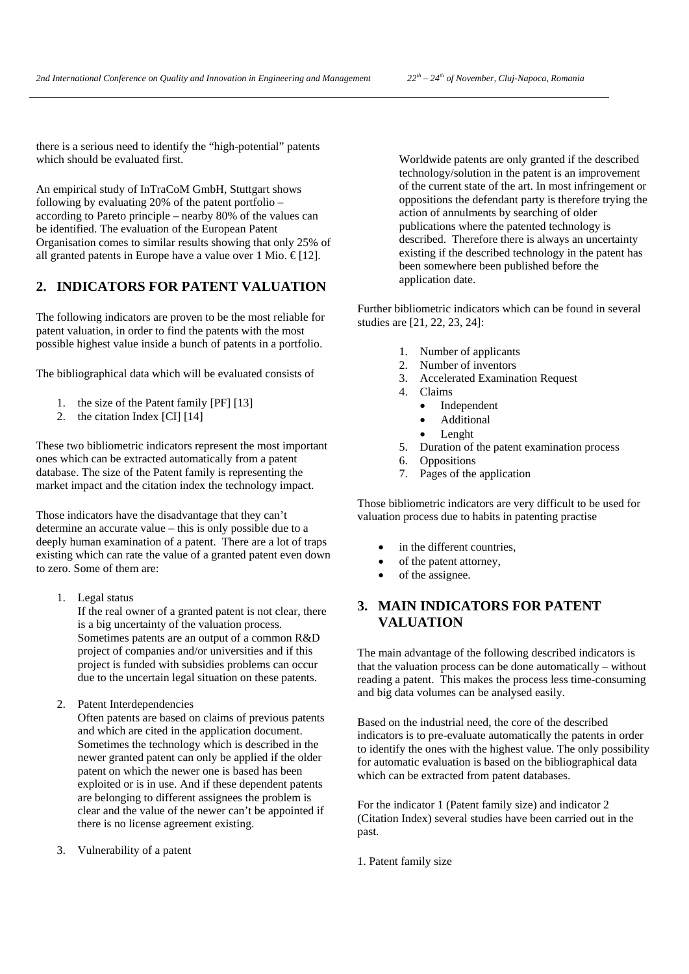there is a serious need to identify the "high-potential" patents which should be evaluated first.

An empirical study of InTraCoM GmbH, Stuttgart shows following by evaluating 20% of the patent portfolio – according to Pareto principle – nearby 80% of the values can be identified. The evaluation of the European Patent Organisation comes to similar results showing that only 25% of all granted patents in Europe have a value over 1 Mio.  $\epsilon$ [12].

## **2. INDICATORS FOR PATENT VALUATION**

The following indicators are proven to be the most reliable for patent valuation, in order to find the patents with the most possible highest value inside a bunch of patents in a portfolio.

The bibliographical data which will be evaluated consists of

- 1. the size of the Patent family [PF] [13]
- 2. the citation Index [CI] [14]

These two bibliometric indicators represent the most important ones which can be extracted automatically from a patent database. The size of the Patent family is representing the market impact and the citation index the technology impact.

Those indicators have the disadvantage that they can't determine an accurate value – this is only possible due to a deeply human examination of a patent. There are a lot of traps existing which can rate the value of a granted patent even down to zero. Some of them are:

1. Legal status

If the real owner of a granted patent is not clear, there is a big uncertainty of the valuation process. Sometimes patents are an output of a common R&D project of companies and/or universities and if this project is funded with subsidies problems can occur due to the uncertain legal situation on these patents.

2. Patent Interdependencies

Often patents are based on claims of previous patents and which are cited in the application document. Sometimes the technology which is described in the newer granted patent can only be applied if the older patent on which the newer one is based has been exploited or is in use. And if these dependent patents are belonging to different assignees the problem is clear and the value of the newer can't be appointed if there is no license agreement existing.

3. Vulnerability of a patent

Worldwide patents are only granted if the described technology/solution in the patent is an improvement of the current state of the art. In most infringement or oppositions the defendant party is therefore trying the action of annulments by searching of older publications where the patented technology is described. Therefore there is always an uncertainty existing if the described technology in the patent has been somewhere been published before the application date.

Further bibliometric indicators which can be found in several studies are [21, 22, 23, 24]:

- 1. Number of applicants
- 2. Number of inventors
- 3. Accelerated Examination Request
- 4. Claims
	- Independent
	- Additional
	- Lenght
- 5. Duration of the patent examination process
- 6. Oppositions
- 7. Pages of the application

Those bibliometric indicators are very difficult to be used for valuation process due to habits in patenting practise

- in the different countries,
- of the patent attorney,
- of the assignee.

## **3. MAIN INDICATORS FOR PATENT VALUATION**

The main advantage of the following described indicators is that the valuation process can be done automatically – without reading a patent. This makes the process less time-consuming and big data volumes can be analysed easily.

Based on the industrial need, the core of the described indicators is to pre-evaluate automatically the patents in order to identify the ones with the highest value. The only possibility for automatic evaluation is based on the bibliographical data which can be extracted from patent databases.

For the indicator 1 (Patent family size) and indicator 2 (Citation Index) several studies have been carried out in the past.

1. Patent family size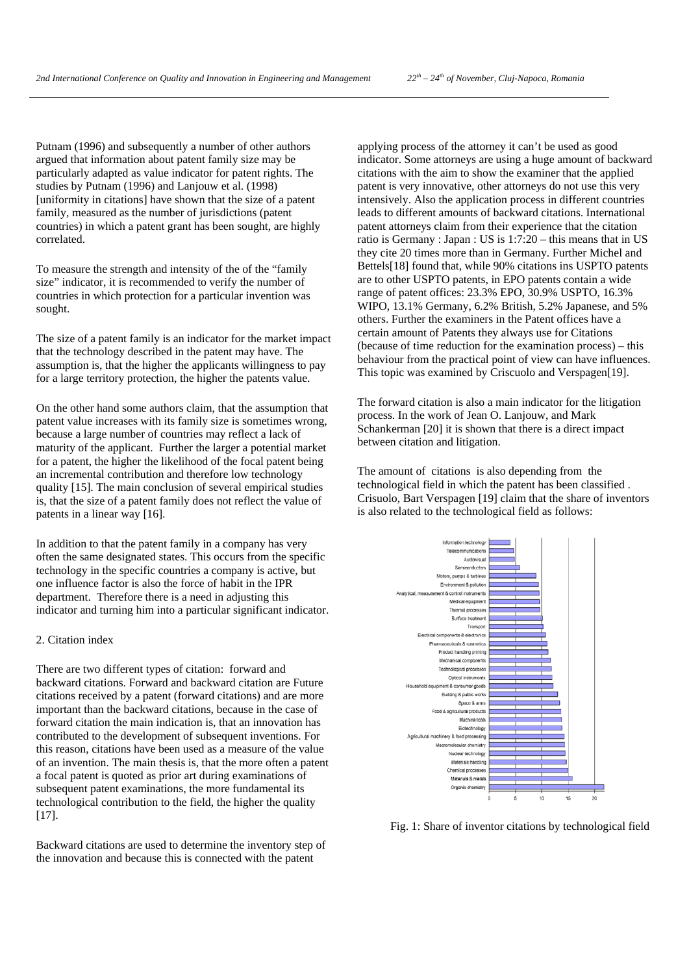Putnam (1996) and subsequently a number of other authors argued that information about patent family size may be particularly adapted as value indicator for patent rights. The studies by Putnam (1996) and Lanjouw et al. (1998) [uniformity in citations] have shown that the size of a patent family, measured as the number of jurisdictions (patent countries) in which a patent grant has been sought, are highly correlated.

To measure the strength and intensity of the of the "family size" indicator, it is recommended to verify the number of countries in which protection for a particular invention was sought.

The size of a patent family is an indicator for the market impact that the technology described in the patent may have. The assumption is, that the higher the applicants willingness to pay for a large territory protection, the higher the patents value.

On the other hand some authors claim, that the assumption that patent value increases with its family size is sometimes wrong, because a large number of countries may reflect a lack of maturity of the applicant. Further the larger a potential market for a patent, the higher the likelihood of the focal patent being an incremental contribution and therefore low technology quality [15]. The main conclusion of several empirical studies is, that the size of a patent family does not reflect the value of patents in a linear way [16].

In addition to that the patent family in a company has very often the same designated states. This occurs from the specific technology in the specific countries a company is active, but one influence factor is also the force of habit in the IPR department. Therefore there is a need in adjusting this indicator and turning him into a particular significant indicator.

#### 2. Citation index

There are two different types of citation: forward and backward citations. Forward and backward citation are Future citations received by a patent (forward citations) and are more important than the backward citations, because in the case of forward citation the main indication is, that an innovation has contributed to the development of subsequent inventions. For this reason, citations have been used as a measure of the value of an invention. The main thesis is, that the more often a patent a focal patent is quoted as prior art during examinations of subsequent patent examinations, the more fundamental its technological contribution to the field, the higher the quality [17].

Backward citations are used to determine the inventory step of the innovation and because this is connected with the patent

applying process of the attorney it can't be used as good indicator. Some attorneys are using a huge amount of backward citations with the aim to show the examiner that the applied patent is very innovative, other attorneys do not use this very intensively. Also the application process in different countries leads to different amounts of backward citations. International patent attorneys claim from their experience that the citation ratio is Germany : Japan : US is 1:7:20 – this means that in US they cite 20 times more than in Germany. Further Michel and Bettels[18] found that, while 90% citations ins USPTO patents are to other USPTO patents, in EPO patents contain a wide range of patent offices: 23.3% EPO, 30.9% USPTO, 16.3% WIPO, 13.1% Germany, 6.2% British, 5.2% Japanese, and 5% others. Further the examiners in the Patent offices have a certain amount of Patents they always use for Citations (because of time reduction for the examination process) – this behaviour from the practical point of view can have influences. This topic was examined by Criscuolo and Verspagen[19].

The forward citation is also a main indicator for the litigation process. In the work of Jean O. Lanjouw, and Mark Schankerman [20] it is shown that there is a direct impact between citation and litigation.

The amount of citations is also depending from the technological field in which the patent has been classified . Crisuolo, Bart Verspagen [19] claim that the share of inventors is also related to the technological field as follows:



Fig. 1: Share of inventor citations by technological field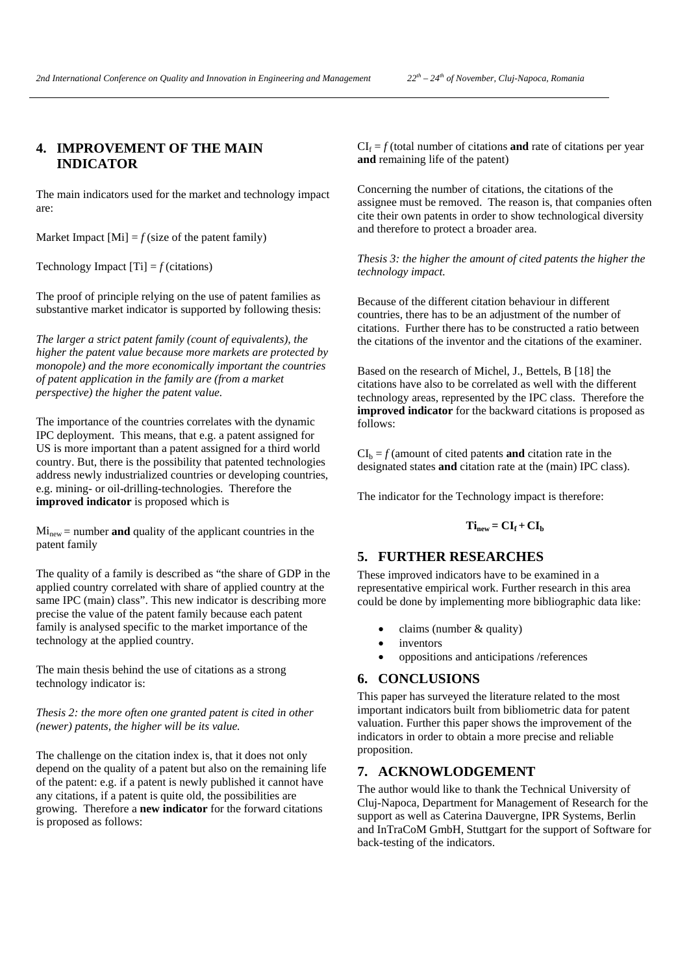# **4. IMPROVEMENT OF THE MAIN INDICATOR**

The main indicators used for the market and technology impact are:

Market Impact  $[M_i] = f$  (size of the patent family)

Technology Impact  $[T_i] = f$  (citations)

The proof of principle relying on the use of patent families as substantive market indicator is supported by following thesis:

*The larger a strict patent family (count of equivalents), the higher the patent value because more markets are protected by monopole) and the more economically important the countries of patent application in the family are (from a market perspective) the higher the patent value.* 

The importance of the countries correlates with the dynamic IPC deployment. This means, that e.g. a patent assigned for US is more important than a patent assigned for a third world country. But, there is the possibility that patented technologies address newly industrialized countries or developing countries, e.g. mining- or oil-drilling-technologies. Therefore the **improved indicator** is proposed which is

 $Mi<sub>new</sub> = number **and** quality of the application countries in the$ patent family

The quality of a family is described as "the share of GDP in the applied country correlated with share of applied country at the same IPC (main) class". This new indicator is describing more precise the value of the patent family because each patent family is analysed specific to the market importance of the technology at the applied country.

The main thesis behind the use of citations as a strong technology indicator is:

*Thesis 2: the more often one granted patent is cited in other (newer) patents, the higher will be its value.* 

The challenge on the citation index is, that it does not only depend on the quality of a patent but also on the remaining life of the patent: e.g. if a patent is newly published it cannot have any citations, if a patent is quite old, the possibilities are growing. Therefore a **new indicator** for the forward citations is proposed as follows:

 $CI_f = f$  (total number of citations **and** rate of citations per year **and** remaining life of the patent)

Concerning the number of citations, the citations of the assignee must be removed. The reason is, that companies often cite their own patents in order to show technological diversity and therefore to protect a broader area.

*Thesis 3: the higher the amount of cited patents the higher the technology impact.* 

Because of the different citation behaviour in different countries, there has to be an adjustment of the number of citations. Further there has to be constructed a ratio between the citations of the inventor and the citations of the examiner.

Based on the research of Michel, J., Bettels, B [18] the citations have also to be correlated as well with the different technology areas, represented by the IPC class. Therefore the **improved indicator** for the backward citations is proposed as follows:

 $CI<sub>b</sub> = f$  (amount of cited patents **and** citation rate in the designated states **and** citation rate at the (main) IPC class).

The indicator for the Technology impact is therefore:

### $Ti_{new} = CI_f + CI_b$

#### **5. FURTHER RESEARCHES**

These improved indicators have to be examined in a representative empirical work. Further research in this area could be done by implementing more bibliographic data like:

- $\bullet$  claims (number & quality)
- inventors
- oppositions and anticipations /references

#### **6. CONCLUSIONS**

This paper has surveyed the literature related to the most important indicators built from bibliometric data for patent valuation. Further this paper shows the improvement of the indicators in order to obtain a more precise and reliable proposition.

#### **7. ACKNOWLODGEMENT**

The author would like to thank the Technical University of Cluj-Napoca, Department for Management of Research for the support as well as Caterina Dauvergne, IPR Systems, Berlin and InTraCoM GmbH, Stuttgart for the support of Software for back-testing of the indicators.